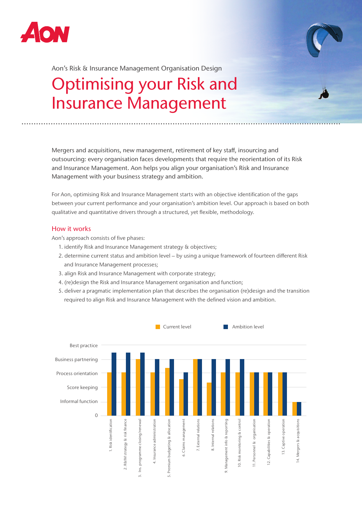



Aon's Risk & Insurance Management Organisation Design

# Optimising your Risk and Insurance Management

Mergers and acquisitions, new management, retirement of key staff, insourcing and outsourcing: every organisation faces developments that require the reorientation of its Risk and Insurance Management. Aon helps you align your organisation's Risk and Insurance Management with your business strategy and ambition.

For Aon, optimising Risk and Insurance Management starts with an objective identification of the gaps between your current performance and your organisation's ambition level. Our approach is based on both qualitative and quantitative drivers through a structured, yet flexible, methodology.

### How it works

Aon's approach consists of five phases:

- 1. identify Risk and Insurance Management strategy & objectives;
- 2. determine current status and ambition level by using a unique framework of fourteen different Risk and Insurance Management processes;
- 3. align Risk and Insurance Management with corporate strategy;
- 4. (re)design the Risk and Insurance Management organisation and function;
- 5. deliver a pragmatic implementation plan that describes the organisation (re)design and the transition required to align Risk and Insurance Management with the defined vision and ambition.